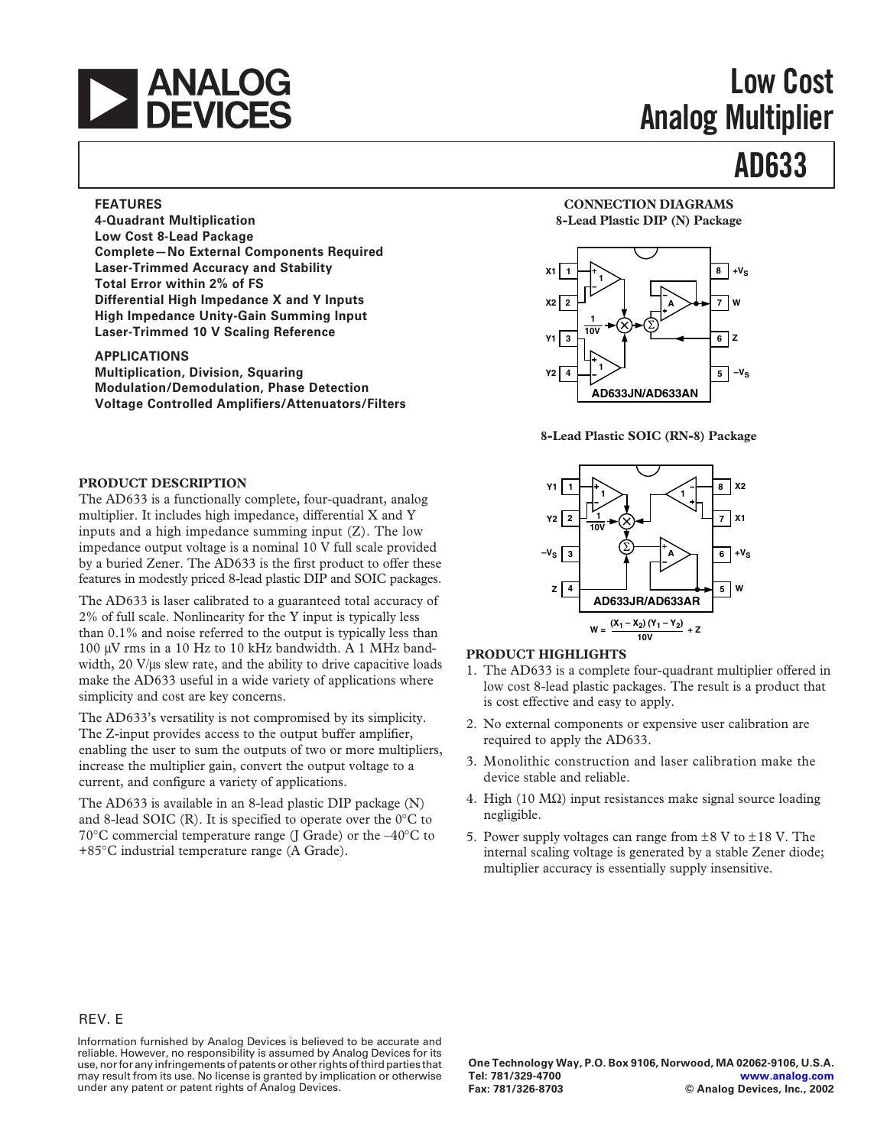

# **Low Cost Analog Multiplier**

# **AD633**

#### **FEATURES**

**4-Quadrant Multiplication Low Cost 8-Lead Package Complete—No External Components Required Laser-Trimmed Accuracy and Stability Total Error within 2% of FS Differential High Impedance X and Y Inputs High Impedance Unity-Gain Summing Input Laser-Trimmed 10 V Scaling Reference**

#### **APPLICATIONS**

**Multiplication, Division, Squaring Modulation/Demodulation, Phase Detection Voltage Controlled Amplifiers/Attenuators/Filters**

#### **PRODUCT DESCRIPTION**

The AD633 is a functionally complete, four-quadrant, analog multiplier. It includes high impedance, differential X and Y inputs and a high impedance summing input (Z). The low impedance output voltage is a nominal 10 V full scale provided by a buried Zener. The AD633 is the first product to offer these features in modestly priced 8-lead plastic DIP and SOIC packages.

The AD633 is laser calibrated to a guaranteed total accuracy of 2% of full scale. Nonlinearity for the Y input is typically less than 0.1% and noise referred to the output is typically less than 100 µV rms in a 10 Hz to 10 kHz bandwidth. A 1 MHz bandwidth, 20 V/µs slew rate, and the ability to drive capacitive loads make the AD633 useful in a wide variety of applications where simplicity and cost are key concerns.

The AD633's versatility is not compromised by its simplicity. The Z-input provides access to the output buffer amplifier, enabling the user to sum the outputs of two or more multipliers, increase the multiplier gain, convert the output voltage to a current, and configure a variety of applications.

The AD633 is available in an 8-lead plastic DIP package (N) and 8-lead SOIC (R). It is specified to operate over the 0°C to 70°C commercial temperature range (J Grade) or the –40°C to +85°C industrial temperature range (A Grade).

#### **CONNECTION DIAGRAMS 8-Lead Plastic DIP (N) Package**



**8-Lead Plastic SOIC (RN-8) Package**



### **PRODUCT HIGHLIGHTS**

- 1. The AD633 is a complete four-quadrant multiplier offered in low cost 8-lead plastic packages. The result is a product that is cost effective and easy to apply.
- 2. No external components or expensive user calibration are required to apply the AD633.
- 3. Monolithic construction and laser calibration make the device stable and reliable.
- 4. High (10  $\text{M}\Omega$ ) input resistances make signal source loading negligible.
- 5. Power supply voltages can range from  $\pm 8$  V to  $\pm 18$  V. The internal scaling voltage is generated by a stable Zener diode; multiplier accuracy is essentially supply insensitive.

#### REV. E

Information furnished by Analog Devices is believed to be accurate and reliable. However, no responsibility is assumed by Analog Devices for its use, nor for any infringements of patents or other rights of third parties that may result from its use. No license is granted by implication or otherwise under any patent or patent rights of Analog Devices.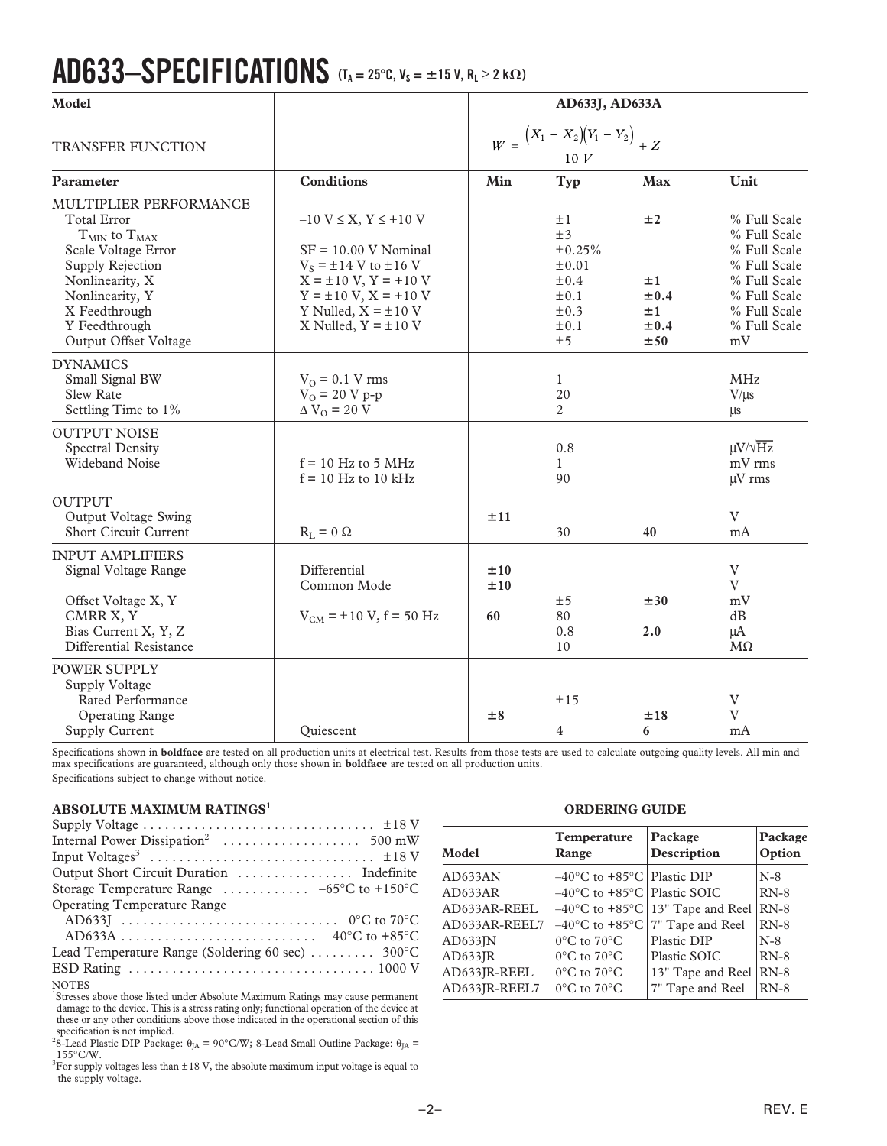# **AD633–SPECIFICATIONS (TA = 25C, VS =** -**15 V, RL** ≥ **2 k)**

| Model                                                                                                                                                                                                              |                                                                                                                                                                                                                          |                  | AD633J, AD633A                                                                             |                                                 |                                                                                                                                    |
|--------------------------------------------------------------------------------------------------------------------------------------------------------------------------------------------------------------------|--------------------------------------------------------------------------------------------------------------------------------------------------------------------------------------------------------------------------|------------------|--------------------------------------------------------------------------------------------|-------------------------------------------------|------------------------------------------------------------------------------------------------------------------------------------|
| <b>TRANSFER FUNCTION</b>                                                                                                                                                                                           |                                                                                                                                                                                                                          |                  | $W = \frac{(X_1 - X_2)(Y_1 - Y_2)}{Y_1 - Y_2} + Z$<br>10 V                                 |                                                 |                                                                                                                                    |
| <b>Parameter</b>                                                                                                                                                                                                   | <b>Conditions</b>                                                                                                                                                                                                        | Min              | Typ                                                                                        | <b>Max</b>                                      | Unit                                                                                                                               |
| MULTIPLIER PERFORMANCE<br><b>Total Error</b><br>$T_{MIN}$ to $T_{MAX}$<br>Scale Voltage Error<br>Supply Rejection<br>Nonlinearity, X<br>Nonlinearity, Y<br>X Feedthrough<br>Y Feedthrough<br>Output Offset Voltage | $-10 V \le X, Y \le +10 V$<br>$SF = 10.00 V Nominal$<br>$V_s = \pm 14$ V to $\pm 16$ V<br>$X = \pm 10 V, Y = +10 V$<br>$Y = \pm 10 \text{ V}, X = +10 \text{ V}$<br>Y Nulled, $X = \pm 10$ V<br>X Nulled, $Y = \pm 10$ V |                  | ±1<br>±3<br>±0.25%<br>$\pm 0.01$<br>$\pm 0.4$<br>$\pm 0.1$<br>$\pm 0.3$<br>$\pm 0.1$<br>±5 | ±2<br>±1<br>$\pm 0.4$<br>±1<br>$\pm 0.4$<br>±50 | % Full Scale<br>% Full Scale<br>% Full Scale<br>% Full Scale<br>% Full Scale<br>% Full Scale<br>% Full Scale<br>% Full Scale<br>mV |
| <b>DYNAMICS</b><br>Small Signal BW<br><b>Slew Rate</b><br>Settling Time to 1%                                                                                                                                      | $V_0 = 0.1 V$ rms<br>$V_0 = 20 V p-p$<br>$\Delta V_O = 20 V$                                                                                                                                                             |                  | $\mathbf{1}$<br>20<br>2                                                                    |                                                 | <b>MHz</b><br>$V/\mu s$<br>μs                                                                                                      |
| <b>OUTPUT NOISE</b><br><b>Spectral Density</b><br>Wideband Noise                                                                                                                                                   | $f = 10$ Hz to 5 MHz<br>$f = 10$ Hz to 10 kHz                                                                                                                                                                            |                  | 0.8<br>1<br>90                                                                             |                                                 | $\mu V / \sqrt{Hz}$<br>mV rms<br>$\mu$ V rms                                                                                       |
| <b>OUTPUT</b><br>Output Voltage Swing<br><b>Short Circuit Current</b>                                                                                                                                              | $R_L = 0 \Omega$                                                                                                                                                                                                         | ±11              | 30                                                                                         | 40                                              | V<br>mA                                                                                                                            |
| <b>INPUT AMPLIFIERS</b><br>Signal Voltage Range<br>Offset Voltage X, Y<br>CMRR X, Y<br>Bias Current X, Y, Z<br>Differential Resistance                                                                             | Differential<br>Common Mode<br>$V_{CM}$ = ±10 V, f = 50 Hz                                                                                                                                                               | ±10<br>±10<br>60 | ±5<br>80<br>0.8<br>10                                                                      | ±30<br>2.0                                      | $\mathbf{V}$<br>V<br>mV<br>dB<br>μA<br>$M\Omega$                                                                                   |
| POWER SUPPLY<br>Supply Voltage<br>Rated Performance<br><b>Operating Range</b><br><b>Supply Current</b>                                                                                                             | Ouiescent                                                                                                                                                                                                                | ±8               | ±15<br>4                                                                                   | ±18<br>6                                        | $\mathbf{V}$<br>V<br>mA                                                                                                            |

Specifications shown in **boldface** are tested on all production units at electrical test. Results from those tests are used to calculate outgoing quality levels. All min and<br>max specifications are guaranteed, although only Specifications subject to change without notice.

#### **ABSOLUTE MAXIMUM RATINGS<sup>1</sup>**

| Supply Voltage $\dots \dots \dots \dots \dots \dots \dots \dots \dots \dots \pm 18$ V |
|---------------------------------------------------------------------------------------|
|                                                                                       |
|                                                                                       |
|                                                                                       |
| Storage Temperature Range $\ldots \ldots \ldots -65^{\circ}C$ to +150 °C              |
| <b>Operating Temperature Range</b>                                                    |
|                                                                                       |
| AD633A $-40^{\circ}$ C to $+85^{\circ}$ C                                             |
| Lead Temperature Range (Soldering 60 sec)  300°C                                      |
|                                                                                       |
| ALOTTO                                                                                |

NOTES<br><sup>1</sup>Stresses above those listed under Absolute Maximum Ratings may cause permanent damage to the device. This is a stress rating only; functional operation of the device at these or any other conditions above those indicated in the operational section of this specification is not implied.<br><sup>2</sup>8-Lead Plastic DIP Package:  $\theta_{JA} = 90^{\circ}C/W$ ; 8-Lead Small Outline Package:  $\theta_{JA} =$ 

 $155^{\circ}$ C/W.<br><sup>3</sup>For supply voltages less than ±18 V, the absolute maximum input voltage is equal to the supply voltage.

#### **ORDERING GUIDE**

| Model         | Temperature<br>Range                              | Package<br>Description                                         | Package<br>Option |
|---------------|---------------------------------------------------|----------------------------------------------------------------|-------------------|
| AD633AN       | $-40^{\circ}$ C to +85 $^{\circ}$ C   Plastic DIP |                                                                | $N-8$             |
| AD633AR       | $-40^{\circ}$ C to $+85^{\circ}$ C   Plastic SOIC |                                                                | $RN-8$            |
| AD633AR-REEL  |                                                   | $-40^{\circ}$ C to +85 $^{\circ}$ C 13" Tape and Reel          | $RN-8$            |
| AD633AR-REEL7 |                                                   | $-40^{\circ}$ C to +85 $^{\circ}$ C $7^{\prime}$ Tape and Reel | $RN-8$            |
| AD633JN       | $0^{\circ}$ C to $70^{\circ}$ C                   | Plastic DIP                                                    | $N-8$             |
| AD633JR       | $0^{\circ}$ C to $70^{\circ}$ C                   | Plastic SOIC                                                   | $RN-8$            |
| AD633JR-REEL  | $0^{\circ}$ C to $70^{\circ}$ C                   | 13" Tape and Reel                                              | $RN-8$            |
| AD633JR-REEL7 | $0^{\circ}$ C to $70^{\circ}$ C                   | 7" Tape and Reel                                               | $RN-8$            |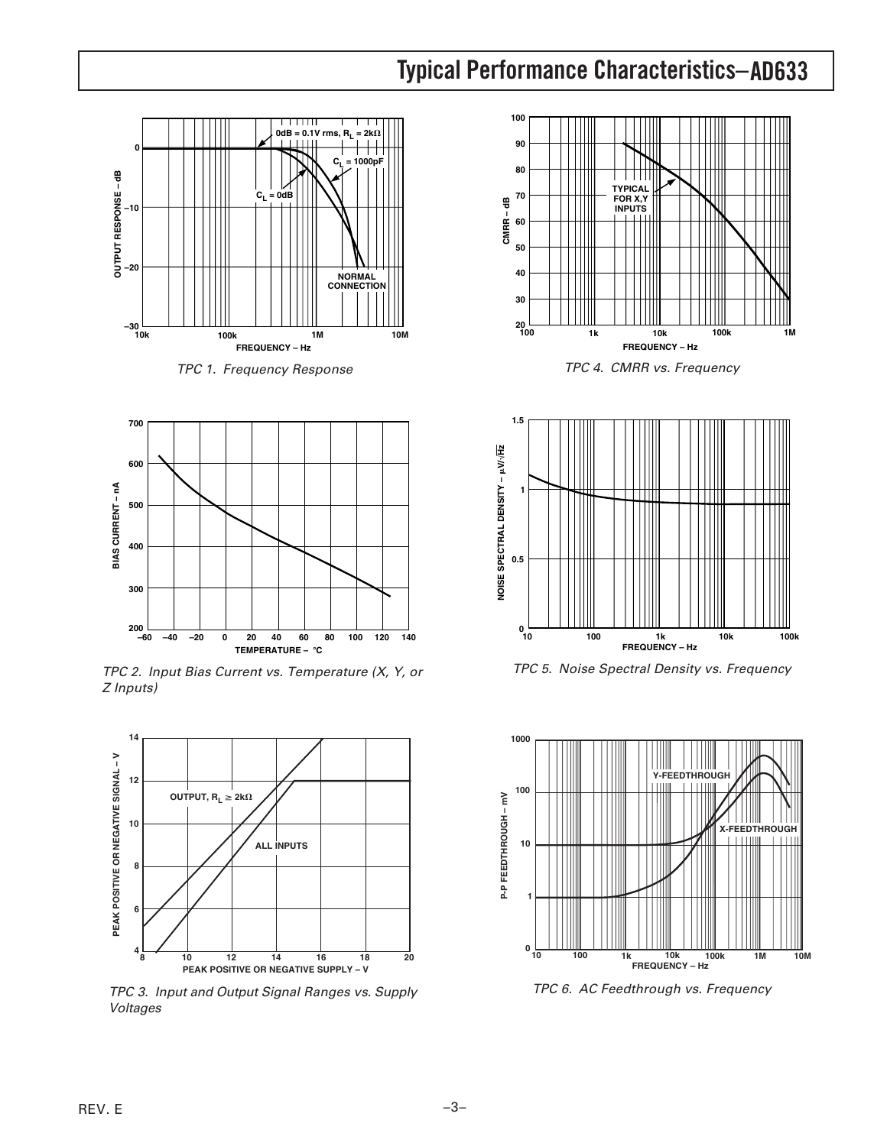## **AD633 Typical Performance Characteristics–**



TPC 1. Frequency Response



TPC 2. Input Bias Current vs. Temperature (X, Y, or Z Inputs)



TPC 3. Input and Output Signal Ranges vs. Supply Voltages



TPC 4. CMRR vs. Frequency



TPC 5. Noise Spectral Density vs. Frequency



TPC 6. AC Feedthrough vs. Frequency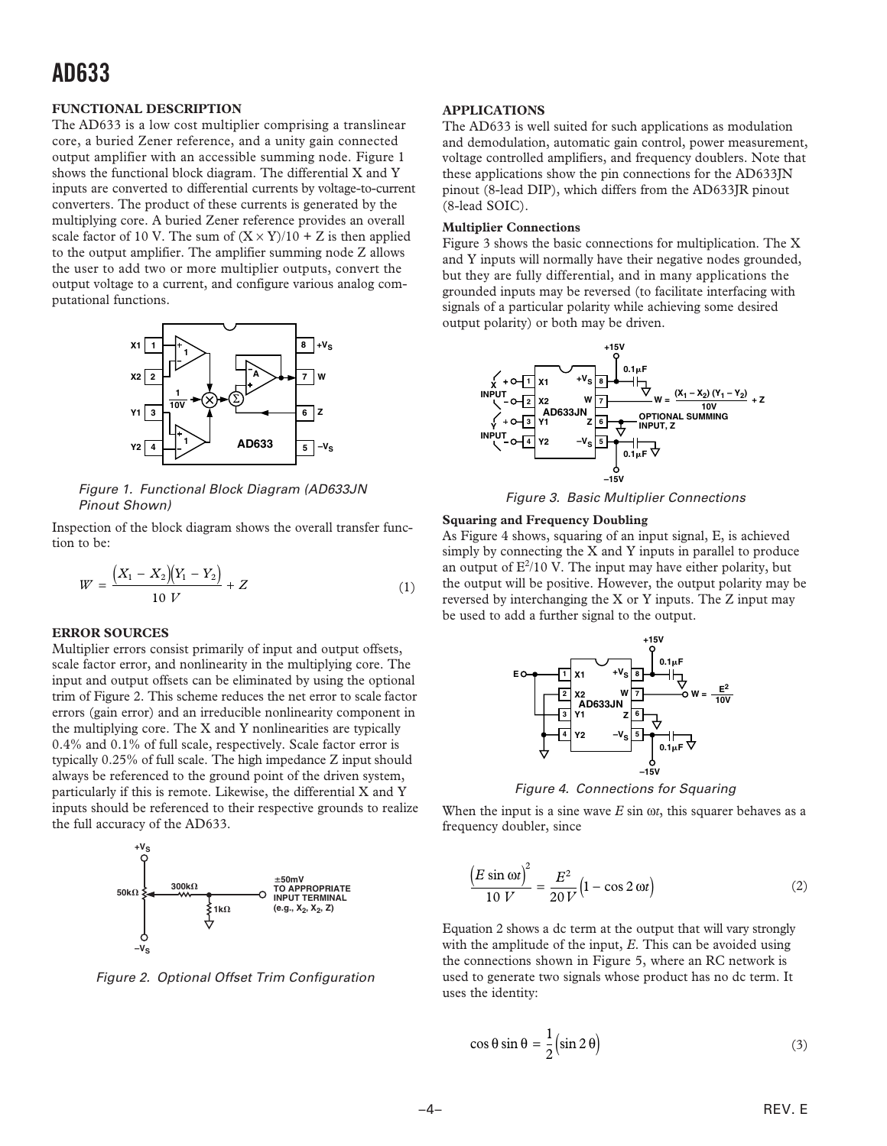### **AD633**

#### **FUNCTIONAL DESCRIPTION**

The AD633 is a low cost multiplier comprising a translinear core, a buried Zener reference, and a unity gain connected output amplifier with an accessible summing node. Figure 1 shows the functional block diagram. The differential X and Y inputs are converted to differential currents by voltage-to-current converters. The product of these currents is generated by the multiplying core. A buried Zener reference provides an overall scale factor of 10 V. The sum of  $(X \times Y)/10 + Z$  is then applied to the output amplifier. The amplifier summing node Z allows the user to add two or more multiplier outputs, convert the output voltage to a current, and configure various analog computational functions.



Figure 1. Functional Block Diagram (AD633JN Pinout Shown)

Inspection of the block diagram shows the overall transfer function to be:

$$
W = \frac{(X_1 - X_2)(Y_1 - Y_2)}{10 V} + Z \tag{1}
$$

#### **ERROR SOURCES**

Multiplier errors consist primarily of input and output offsets, scale factor error, and nonlinearity in the multiplying core. The input and output offsets can be eliminated by using the optional trim of Figure 2. This scheme reduces the net error to scale factor errors (gain error) and an irreducible nonlinearity component in the multiplying core. The X and Y nonlinearities are typically 0.4% and 0.1% of full scale, respectively. Scale factor error is typically 0.25% of full scale. The high impedance Z input should always be referenced to the ground point of the driven system, particularly if this is remote. Likewise, the differential X and Y inputs should be referenced to their respective grounds to realize the full accuracy of the AD633.



Figure 2. Optional Offset Trim Configuration

#### **APPLICATIONS**

The AD633 is well suited for such applications as modulation and demodulation, automatic gain control, power measurement, voltage controlled amplifiers, and frequency doublers. Note that these applications show the pin connections for the AD633JN pinout (8-lead DIP), which differs from the AD633JR pinout (8-lead SOIC).

#### **Multiplier Connections**

Figure 3 shows the basic connections for multiplication. The X and Y inputs will normally have their negative nodes grounded, but they are fully differential, and in many applications the grounded inputs may be reversed (to facilitate interfacing with signals of a particular polarity while achieving some desired output polarity) or both may be driven.





#### **Squaring and Frequency Doubling**

As Figure 4 shows, squaring of an input signal, E, is achieved simply by connecting the X and Y inputs in parallel to produce an output of  $E^2/10$  V. The input may have either polarity, but the output will be positive. However, the output polarity may be reversed by interchanging the X or Y inputs. The Z input may be used to add a further signal to the output.



Figure 4. Connections for Squaring

When the input is a sine wave  $E \sin \omega t$ , this squarer behaves as a frequency doubler, since

$$
\frac{\left(E\sin\omega t\right)^2}{10 V} = \frac{E^2}{20 V} \left(1 - \cos 2 \omega t\right) \tag{2}
$$

Equation 2 shows a dc term at the output that will vary strongly with the amplitude of the input, *E*. This can be avoided using the connections shown in Figure 5, where an RC network is used to generate two signals whose product has no dc term. It uses the identity:

$$
\cos \theta \sin \theta = \frac{1}{2} \left( \sin 2\theta \right) \tag{3}
$$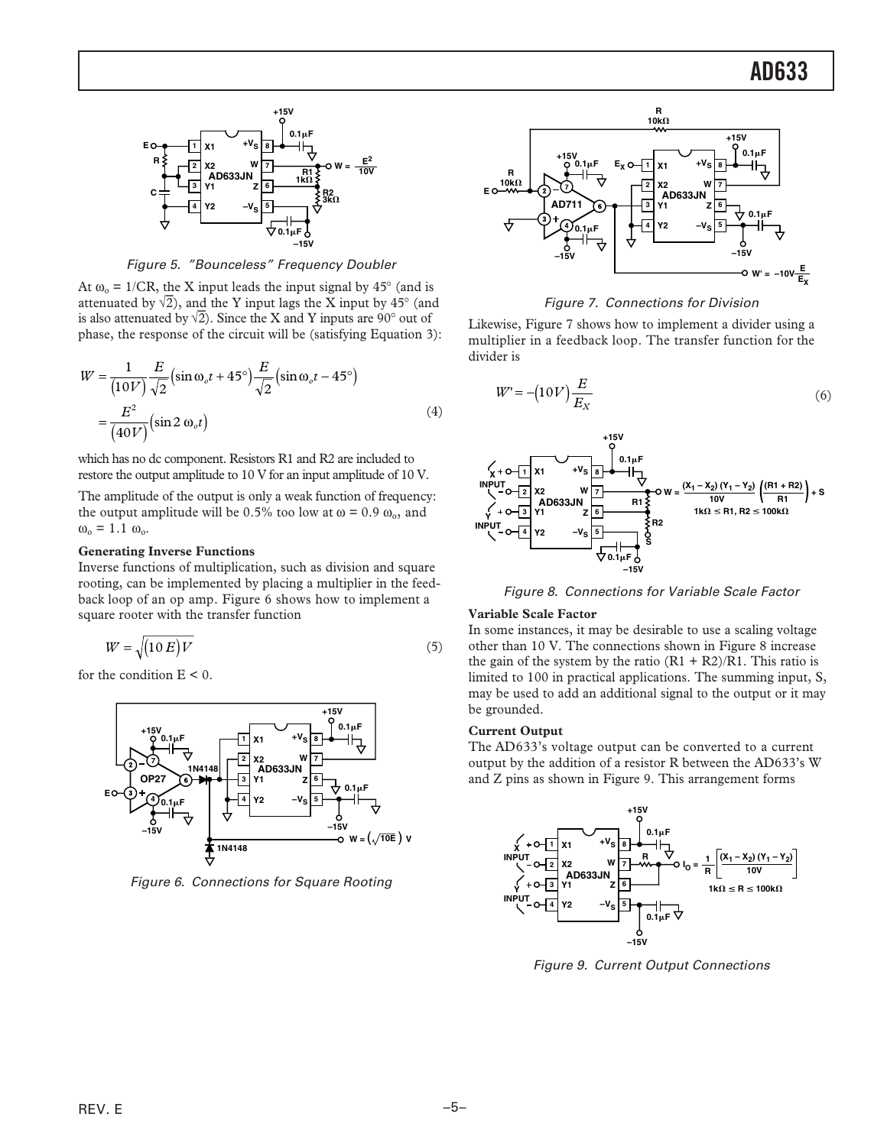### **AD633**



Figure 5. "Bounceless" Frequency Doubler

At  $\omega_0 = 1/CR$ , the X input leads the input signal by 45° (and is attenuated by  $\sqrt{2}$ ), and the Y input lags the X input by 45° (and is also attenuated by  $\sqrt{2}$ ). Since the X and Y inputs are 90° out of phase, the response of the circuit will be (satisfying Equation 3):

$$
W = \frac{1}{(10V)} \frac{E}{\sqrt{2}} \left( \sin \omega_o t + 45^\circ \right) \frac{E}{\sqrt{2}} \left( \sin \omega_o t - 45^\circ \right)
$$

$$
= \frac{E^2}{(40V)} \left( \sin 2 \omega_o t \right) \tag{4}
$$

which has no dc component. Resistors R1 and R2 are included to restore the output amplitude to 10 V for an input amplitude of 10 V.

The amplitude of the output is only a weak function of frequency: the output amplitude will be 0.5% too low at  $\omega$  = 0.9  $\omega_{0}$ , and  $\omega_{\rm o} = 1.1 \omega_{\rm o}.$ 

#### **Generating Inverse Functions**

Inverse functions of multiplication, such as division and square rooting, can be implemented by placing a multiplier in the feedback loop of an op amp. Figure 6 shows how to implement a square rooter with the transfer function

$$
W = \sqrt{(10 E)V} \tag{5}
$$

for the condition  $E < 0$ .



Figure 6. Connections for Square Rooting



#### Figure 7. Connections for Division

Likewise, Figure 7 shows how to implement a divider using a multiplier in a feedback loop. The transfer function for the divider is

$$
W' = -\left(10V\right)\frac{E}{E_X} \tag{6}
$$



Figure 8. Connections for Variable Scale Factor

#### **Variable Scale Factor**

In some instances, it may be desirable to use a scaling voltage other than 10 V. The connections shown in Figure 8 increase the gain of the system by the ratio  $(R1 + R2)/R1$ . This ratio is limited to 100 in practical applications. The summing input, S, may be used to add an additional signal to the output or it may be grounded.

#### **Current Output**

The AD633's voltage output can be converted to a current output by the addition of a resistor R between the AD633's W and Z pins as shown in Figure 9. This arrangement forms



Figure 9. Current Output Connections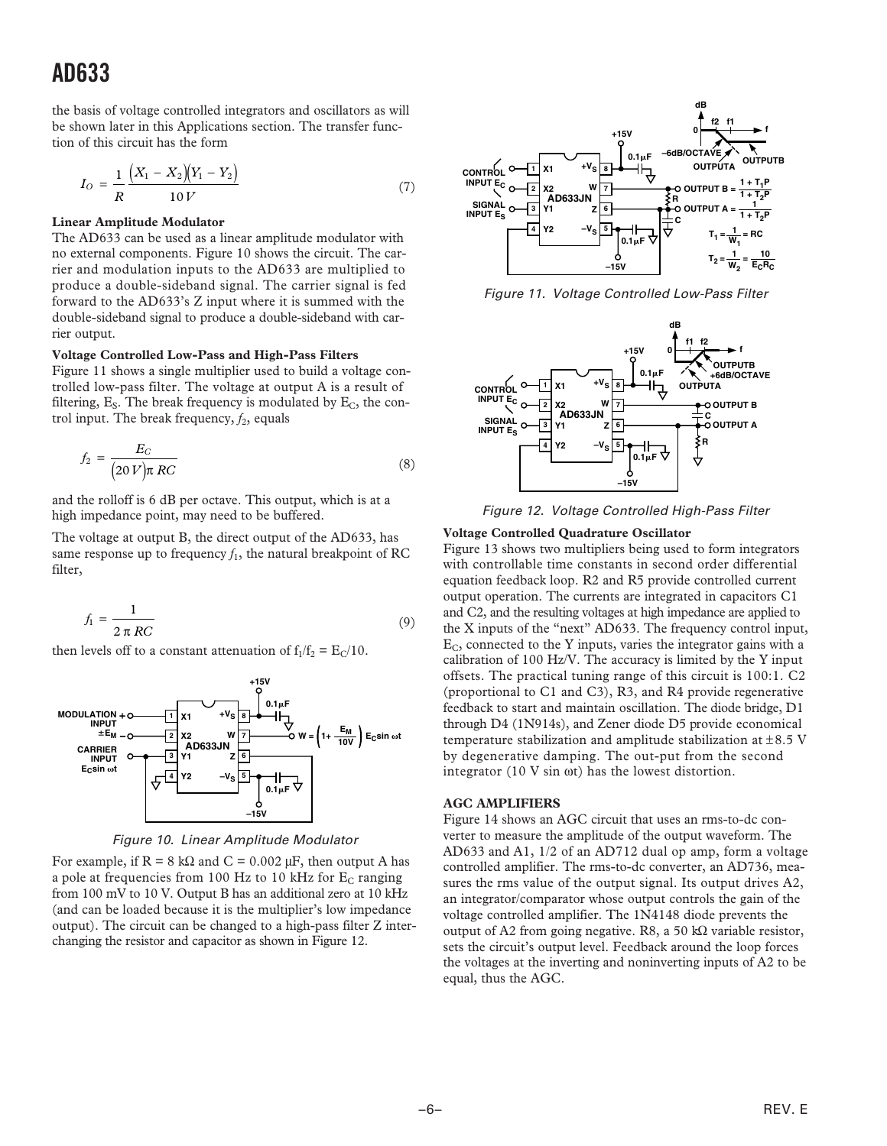### **AD633**

the basis of voltage controlled integrators and oscillators as will be shown later in this Applications section. The transfer function of this circuit has the form

$$
I_O = \frac{1}{R} \frac{(X_1 - X_2)(Y_1 - Y_2)}{10 V} \tag{7}
$$

#### **Linear Amplitude Modulator**

The AD633 can be used as a linear amplitude modulator with no external components. Figure 10 shows the circuit. The carrier and modulation inputs to the AD633 are multiplied to produce a double-sideband signal. The carrier signal is fed forward to the AD633's Z input where it is summed with the double-sideband signal to produce a double-sideband with carrier output.

#### **Voltage Controlled Low-Pass and High-Pass Filters**

Figure 11 shows a single multiplier used to build a voltage controlled low-pass filter. The voltage at output A is a result of filtering,  $E_S$ . The break frequency is modulated by  $E_C$ , the control input. The break frequency,  $f_2$ , equals

$$
f_2 = \frac{E_C}{(20 V)\pi RC}
$$
\n(8)

and the rolloff is 6 dB per octave. This output, which is at a high impedance point, may need to be buffered.

The voltage at output B, the direct output of the AD633, has same response up to frequency  $f_1$ , the natural breakpoint of RC filter,

$$
f_1 = \frac{1}{2 \pi RC}
$$
\n(9)

then levels off to a constant attenuation of  $f_1/f_2 = E_C/10$ .



Figure 10. Linear Amplitude Modulator

For example, if  $R = 8 k\Omega$  and  $C = 0.002 \mu F$ , then output A has a pole at frequencies from 100 Hz to 10 kHz for  $E_C$  ranging from 100 mV to 10 V. Output B has an additional zero at 10 kHz (and can be loaded because it is the multiplier's low impedance output). The circuit can be changed to a high-pass filter Z interchanging the resistor and capacitor as shown in Figure 12.



Figure 11. Voltage Controlled Low-Pass Filter



Figure 12. Voltage Controlled High-Pass Filter

#### **Voltage Controlled Quadrature Oscillator**

Figure 13 shows two multipliers being used to form integrators with controllable time constants in second order differential equation feedback loop. R2 and R5 provide controlled current output operation. The currents are integrated in capacitors C1 and C2, and the resulting voltages at high impedance are applied to the X inputs of the "next" AD633. The frequency control input,  $E_C$ , connected to the Y inputs, varies the integrator gains with a calibration of 100 Hz/V. The accuracy is limited by the Y input offsets. The practical tuning range of this circuit is 100:1. C2 (proportional to C1 and C3), R3, and R4 provide regenerative feedback to start and maintain oscillation. The diode bridge, D1 through D4 (1N914s), and Zener diode D5 provide economical temperature stabilization and amplitude stabilization at  $\pm 8.5$  V by degenerative damping. The out-put from the second integrator (10 V sin ωt) has the lowest distortion.

#### **AGC AMPLIFIERS**

Figure 14 shows an AGC circuit that uses an rms-to-dc converter to measure the amplitude of the output waveform. The AD633 and A1, 1/2 of an AD712 dual op amp, form a voltage controlled amplifier. The rms-to-dc converter, an AD736, measures the rms value of the output signal. Its output drives A2, an integrator/comparator whose output controls the gain of the voltage controlled amplifier. The 1N4148 diode prevents the output of A2 from going negative. R8, a 50 kΩ variable resistor, sets the circuit's output level. Feedback around the loop forces the voltages at the inverting and noninverting inputs of A2 to be equal, thus the AGC.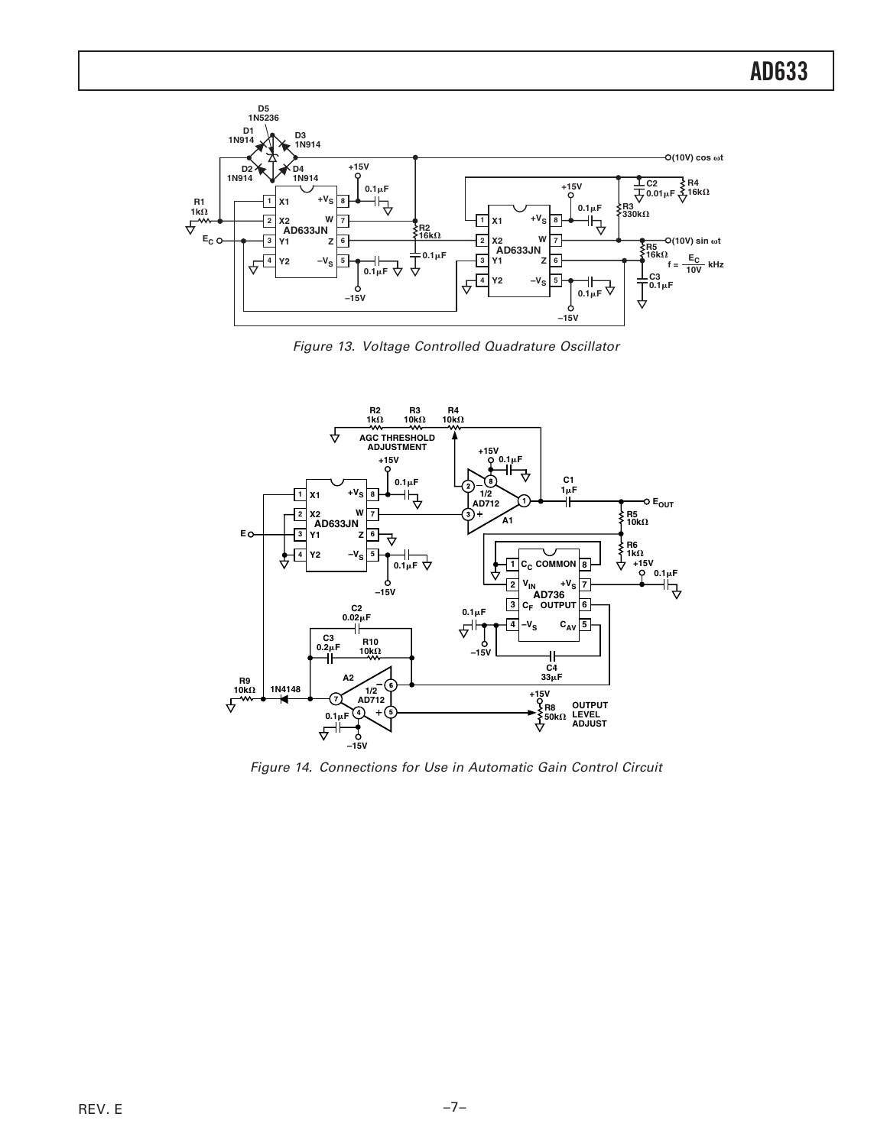

Figure 13. Voltage Controlled Quadrature Oscillator



Figure 14. Connections for Use in Automatic Gain Control Circuit